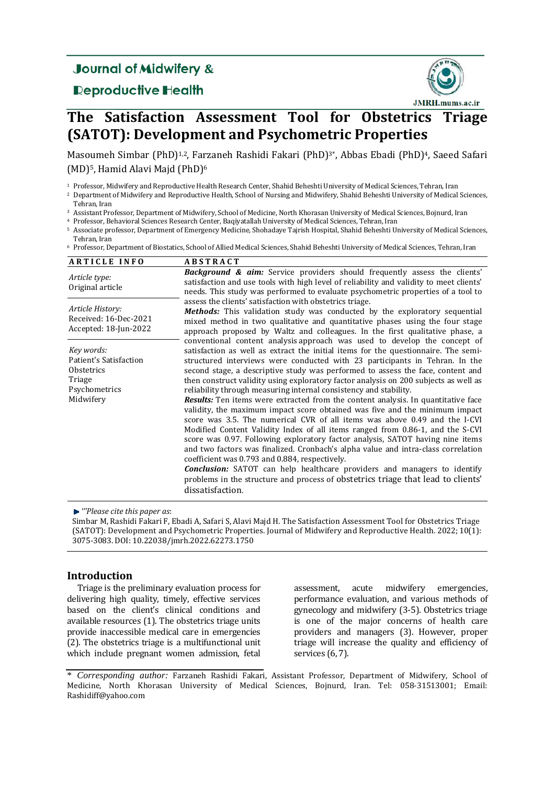# **Journal of Midwifery &**

## **Reproductive Health**



# **The Satisfaction Assessment Tool for Obstetrics Triage (SATOT): Development and Psychometric Properties**

Masoumeh Simbar (PhD)<sup>1,2</sup>, Farzaneh Rashidi Fakari (PhD)<sup>3\*</sup>, Abbas Ebadi (PhD)<sup>4</sup>, Saeed Safari (MD)<sup>5</sup>, Hamid Alavi Maid (PhD)<sup>6</sup>

<sup>1</sup> Professor, Midwifery and Reproductive Health Research Center, Shahid Beheshti University of Medical Sciences, Tehran, Iran

<sup>2</sup> Department of Midwifery and Reproductive Health, School of Nursing and Midwifery, Shahid Beheshti University of Medical Sciences, Tehran, Iran

<sup>3</sup> Assistant Professor, Department of Midwifery, School of Medicine, North Khorasan University of Medical Sciences, Bojnurd, Iran

<sup>4</sup> Professor, Behavioral Sciences Research Center, Baqiyatallah University of Medical Sciences, Tehran, Iran

5 Associate professor, Department of Emergency Medicine, Shohadaye Tajrish Hospital, Shahid Beheshti University of Medical Sciences, Tehran, Iran

<sup>6</sup> Professor, Department of Biostatics, School of Allied Medical Sciences, Shahid Beheshti University of Medical Sciences, Tehran, Iran

| <b>ARTICLE INFO</b>                                                                        | <b>ABSTRACT</b>                                                                                                                                                                                                                                                                                                                                                                                                                                                                                                                                                                                                                                                                                                                                                                                                                                                                                                                                                                                                                                                                                                                                                                                                                                               |  |  |  |  |  |
|--------------------------------------------------------------------------------------------|---------------------------------------------------------------------------------------------------------------------------------------------------------------------------------------------------------------------------------------------------------------------------------------------------------------------------------------------------------------------------------------------------------------------------------------------------------------------------------------------------------------------------------------------------------------------------------------------------------------------------------------------------------------------------------------------------------------------------------------------------------------------------------------------------------------------------------------------------------------------------------------------------------------------------------------------------------------------------------------------------------------------------------------------------------------------------------------------------------------------------------------------------------------------------------------------------------------------------------------------------------------|--|--|--|--|--|
| Article type:<br>Original article                                                          | <b>Background &amp; aim:</b> Service providers should frequently assess the clients'<br>satisfaction and use tools with high level of reliability and validity to meet clients'<br>needs. This study was performed to evaluate psychometric properties of a tool to                                                                                                                                                                                                                                                                                                                                                                                                                                                                                                                                                                                                                                                                                                                                                                                                                                                                                                                                                                                           |  |  |  |  |  |
| Article History:<br>Received: 16-Dec-2021<br>Accepted: 18-Jun-2022                         | assess the clients' satisfaction with obstetrics triage.<br><b>Methods:</b> This validation study was conducted by the exploratory sequential<br>mixed method in two qualitative and quantitative phases using the four stage<br>approach proposed by Waltz and colleagues. In the first qualitative phase, a                                                                                                                                                                                                                                                                                                                                                                                                                                                                                                                                                                                                                                                                                                                                                                                                                                                                                                                                                 |  |  |  |  |  |
| Key words:<br>Patient's Satisfaction<br>Obstetrics<br>Triage<br>Psychometrics<br>Midwifery | conventional content analysis approach was used to develop the concept of<br>satisfaction as well as extract the initial items for the questionnaire. The semi-<br>structured interviews were conducted with 23 participants in Tehran. In the<br>second stage, a descriptive study was performed to assess the face, content and<br>then construct validity using exploratory factor analysis on 200 subjects as well as<br>reliability through measuring internal consistency and stability.<br><b>Results:</b> Ten items were extracted from the content analysis. In quantitative face<br>validity, the maximum impact score obtained was five and the minimum impact<br>score was 3.5. The numerical CVR of all items was above 0.49 and the I-CVI<br>Modified Content Validity Index of all items ranged from 0.86-1, and the S-CVI<br>score was 0.97. Following exploratory factor analysis, SATOT having nine items<br>and two factors was finalized. Cronbach's alpha value and intra-class correlation<br>coefficient was 0.793 and 0.884, respectively.<br><b>Conclusion:</b> SATOT can help healthcare providers and managers to identify<br>problems in the structure and process of obstetrics triage that lead to clients'<br>dissatisfaction. |  |  |  |  |  |

*'''Please cite this paper as*: 

Simbar M, Rashidi Fakari F, Ebadi A, Safari S, Alavi Majd H. The Satisfaction Assessment Tool for Obstetrics Triage (SATOT): Development and Psychometric Properties. Journal of Midwifery and Reproductive Health. 2022; 10(1): 3075‐3083. DOI: 10.22038/jmrh.2022.62273.1750 

## **Introduction**

Triage is the preliminary evaluation process for delivering high quality, timely, effective services based on the client's clinical conditions and available resources  $(1)$ . The obstetrics triage units provide inaccessible medical care in emergencies (2). The obstetrics triage is a multifunctional unit which include pregnant women admission, fetal assessment, acute midwifery emergencies, performance evaluation, and various methods of gynecology and midwifery (3-5). Obstetrics triage is one of the major concerns of health care providers and managers (3). However, proper triage will increase the quality and efficiency of services (6, 7).

<sup>\*</sup> *Corresponding author:* Farzaneh Rashidi Fakari, Assistant Professor, Department of Midwifery, School of Medicine, North Khorasan University of Medical Sciences, Bojnurd, Iran. Tel: 058-31513001; Email: Rashidiff@yahoo.com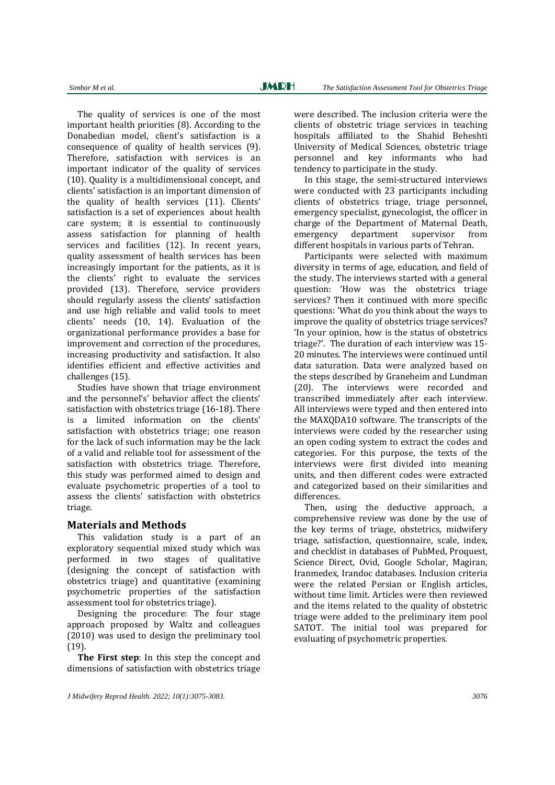The quality of services is one of the most important health priorities  $(8)$ . According to the Donabedian model, client's satisfaction is a consequence of quality of health services (9). Therefore, satisfaction with services is an important indicator of the quality of services (10). Quality is a multidimensional concept, and clients' satisfaction is an important dimension of the quality of health services (11). Clients' satisfaction is a set of experiences about health care system; it is essential to continuously assess satisfaction for planning of health services and facilities  $(12)$ . In recent vears, quality assessment of health services has been increasingly important for the patients, as it is the clients' right to evaluate the services provided (13). Therefore, service providers should regularly assess the clients' satisfaction and use high reliable and valid tools to meet clients' needs (10, 14). Evaluation of the organizational performance provides a base for improvement and correction of the procedures, increasing productivity and satisfaction. It also identifies efficient and effective activities and challenges (15).

Studies have shown that triage environment and the personnel's' behavior affect the clients' satisfaction with obstetrics triage (16-18). There is a limited information on the clients' satisfaction with obstetrics triage; one reason for the lack of such information may be the lack of a valid and reliable tool for assessment of the satisfaction with obstetrics triage. Therefore, this study was performed aimed to design and evaluate psychometric properties of a tool to assess the clients' satisfaction with obstetrics triage. 

### **Materials and Methods**

This validation study is a part of an exploratory sequential mixed study which was performed in two stages of qualitative (designing the concept of satisfaction with obstetrics triage) and quantitative (examining psychometric properties of the satisfaction assessment tool for obstetrics triage).

Designing the procedure: The four stage approach proposed by Waltz and colleagues  $(2010)$  was used to design the preliminary tool (19). 

**The First step**: In this step the concept and dimensions of satisfaction with obstetrics triage

were described. The inclusion criteria were the clients of obstetric triage services in teaching hospitals affiliated to the Shahid Beheshti University of Medical Sciences, obstetric triage personnel and key informants who had tendency to participate in the study.

In this stage, the semi-structured interviews were conducted with 23 participants including clients of obstetrics triage, triage personnel, emergency specialist, gynecologist, the officer in charge of the Department of Maternal Death, emergency department supervisor from different hospitals in various parts of Tehran.

Participants were selected with maximum diversity in terms of age, education, and field of the study. The interviews started with a general question: 'How was the obstetrics triage services? Then it continued with more specific questions: 'What do you think about the ways to improve the quality of obstetrics triage services? 'In your opinion, how is the status of obstetrics triage?'. The duration of each interview was 15-20 minutes. The interviews were continued until data saturation. Data were analyzed based on the steps described by Graneheim and Lundman (20). The interviews were recorded and transcribed immediately after each interview. All interviews were typed and then entered into the MAXQDA10 software. The transcripts of the interviews were coded by the researcher using an open coding system to extract the codes and categories. For this purpose, the texts of the interviews were first divided into meaning units, and then different codes were extracted and categorized based on their similarities and differences. 

Then, using the deductive approach, a comprehensive review was done by the use of the key terms of triage, obstetrics, midwifery triage, satisfaction, questionnaire, scale, index, and checklist in databases of PubMed, Proquest, Science Direct, Ovid, Google Scholar, Magiran, Iranmedex, Irandoc databases. Inclusion criteria were the related Persian or English articles, without time limit. Articles were then reviewed and the items related to the quality of obstetric triage were added to the preliminary item pool SATOT. The initial tool was prepared for evaluating of psychometric properties.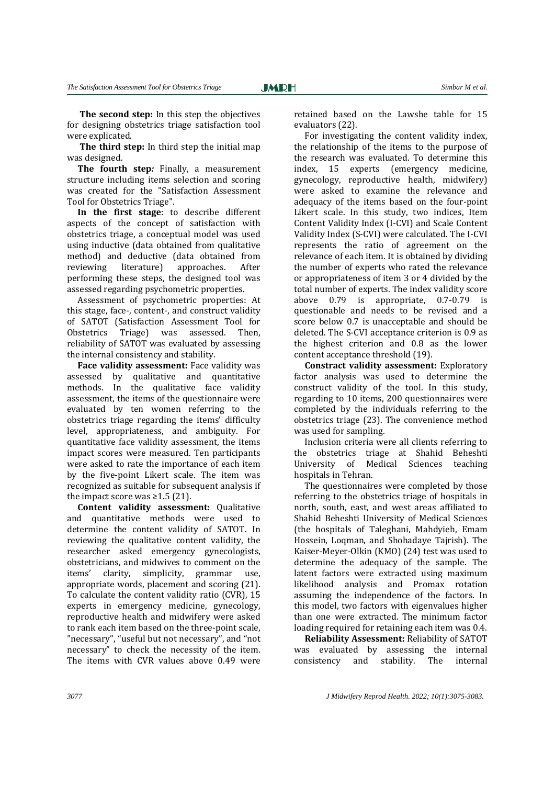Ī

**The second step:** In this step the objectives for designing obstetrics triage satisfaction tool were explicated.

**The third step:** In third step the initial map was designed.

**The fourth step***:* Finally, a measurement structure including items selection and scoring was created for the "Satisfaction Assessment Tool for Obstetrics Triage".

**In the first stage**: to describe different aspects of the concept of satisfaction with obstetrics triage, a conceptual model was used using inductive (data obtained from qualitative method) and deductive (data obtained from reviewing literature) approaches. After performing these steps, the designed tool was assessed regarding psychometric properties.

Assessment of psychometric properties: At this stage, face-, content-, and construct validity of SATOT (Satisfaction Assessment Tool for Obstetrics Triage) was assessed. Then, reliability of SATOT was evaluated by assessing the internal consistency and stability.

**Face validity assessment:** Face validity was assessed by qualitative and quantitative methods. In the qualitative face validity assessment, the items of the questionnaire were evaluated by ten women referring to the obstetrics triage regarding the items' difficulty level, appropriateness, and ambiguity. For quantitative face validity assessment, the items impact scores were measured. Ten participants were asked to rate the importance of each item by the five-point Likert scale. The item was recognized as suitable for subsequent analysis if the impact score was  $\geq$ 1.5 (21).

**Content validity assessment:** Qualitative and quantitative methods were used to determine the content validity of SATOT. In reviewing the qualitative content validity, the researcher asked emergency gynecologists, obstetricians, and midwives to comment on the items' clarity, simplicity, grammar use, appropriate words, placement and scoring (21). To calculate the content validity ratio (CVR), 15 experts in emergency medicine, gynecology, reproductive health and midwifery were asked to rank each item based on the three-point scale, "necessary", "useful but not necessary", and "not necessary" to check the necessity of the item. The items with CVR values above  $0.49$  were

retained based on the Lawshe table for 15 evaluators (22).

For investigating the content validity index, the relationship of the items to the purpose of the research was evaluated. To determine this index, 15 experts (emergency medicine, gynecology, reproductive health, midwifery) were asked to examine the relevance and adequacy of the items based on the four-point Likert scale. In this study, two indices, Item Content Validity Index (I-CVI) and Scale Content Validity Index (S-CVI) were calculated. The I-CVI represents the ratio of agreement on the relevance of each item. It is obtained by dividing the number of experts who rated the relevance or appropriateness of item 3 or 4 divided by the total number of experts. The index validity score above 0.79 is appropriate, 0.7-0.79 is questionable and needs to be revised and a score below 0.7 is unacceptable and should be deleted. The S-CVI acceptance criterion is 0.9 as the highest criterion and  $0.8$  as the lower content acceptance threshold (19).

**Constract validity assessment:** Exploratory factor analysis was used to determine the construct validity of the tool. In this study, regarding to 10 items, 200 questionnaires were completed by the individuals referring to the obstetrics triage  $(23)$ . The convenience method was used for sampling.

Inclusion criteria were all clients referring to the obstetrics triage at Shahid Beheshti University of Medical Sciences teaching hospitals in Tehran.

The questionnaires were completed by those referring to the obstetrics triage of hospitals in north, south, east, and west areas affiliated to Shahid Beheshti University of Medical Sciences (the hospitals of Taleghani, Mahdyieh, Emam Hossein, Loqman, and Shohadaye Tajrish). The Kaiser-Meyer-Olkin (KMO) (24) test was used to determine the adequacy of the sample. The latent factors were extracted using maximum likelihood analysis and Promax rotation assuming the independence of the factors. In this model, two factors with eigenvalues higher than one were extracted. The minimum factor loading required for retaining each item was 0.4.

**Reliability Assessment:** Reliability of SATOT was evaluated by assessing the internal consistency and stability. The internal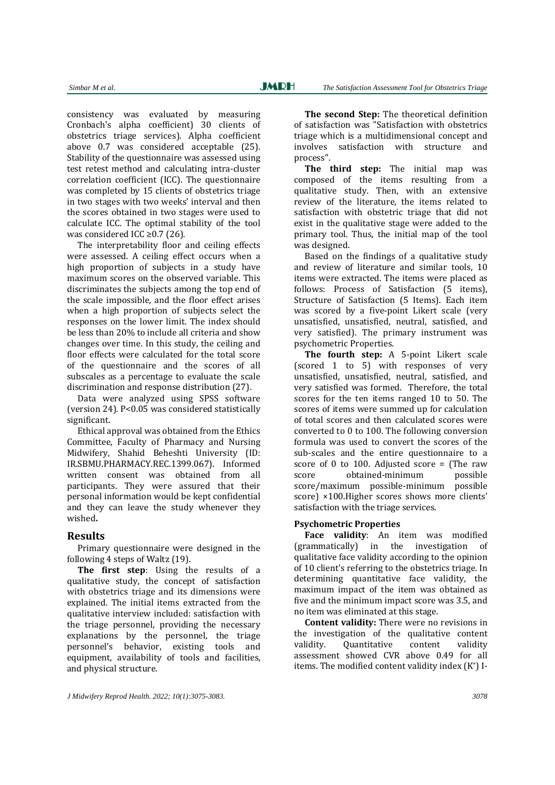consistency was evaluated by measuring Cronbach's alpha coefficient) 30 clients of obstetrics triage services). Alpha coefficient above 0.7 was considered acceptable (25). Stability of the questionnaire was assessed using test retest method and calculating intra-cluster correlation coefficient (ICC). The questionnaire was completed by 15 clients of obstetrics triage in two stages with two weeks' interval and then the scores obtained in two stages were used to calculate ICC. The optimal stability of the tool was considered ICC  $\geq$  0.7 (26).

The interpretability floor and ceiling effects were assessed. A ceiling effect occurs when a high proportion of subjects in a study have maximum scores on the observed variable. This discriminates the subjects among the top end of the scale impossible, and the floor effect arises when a high proportion of subjects select the responses on the lower limit. The index should be less than 20% to include all criteria and show changes over time. In this study, the ceiling and floor effects were calculated for the total score of the questionnaire and the scores of all subscales as a percentage to evaluate the scale discrimination and response distribution (27).

Data were analyzed using SPSS software (version 24). P<0.05 was considered statistically significant. 

Ethical approval was obtained from the Ethics Committee, Faculty of Pharmacy and Nursing Midwifery, Shahid Beheshti University (ID: IR.SBMU.PHARMACY.REC.1399.067). Informed written consent was obtained from all participants. They were assured that their personal information would be kept confidential and they can leave the study whenever they wished**.**

### **Results**

Primary questionnaire were designed in the following 4 steps of Waltz  $(19)$ .

**The first step**: Using the results of a qualitative study, the concept of satisfaction with obstetrics triage and its dimensions were explained. The initial items extracted from the qualitative interview included: satisfaction with the triage personnel, providing the necessary explanations by the personnel, the triage personnel's behavior, existing tools and equipment, availability of tools and facilities, and physical structure.

**The second Step:** The theoretical definition of satisfaction was "Satisfaction with obstetrics triage which is a multidimensional concept and involves satisfaction with structure and process".

**The third step:** The initial map was composed of the items resulting from a qualitative study. Then, with an extensive review of the literature, the items related to satisfaction with obstetric triage that did not exist in the qualitative stage were added to the primary tool. Thus, the initial map of the tool was designed.

Based on the findings of a qualitative study and review of literature and similar tools, 10 items were extracted. The items were placed as follows: Process of Satisfaction (5 items), Structure of Satisfaction (5 Items). Each item was scored by a five-point Likert scale (very unsatisfied, unsatisfied, neutral, satisfied, and very satisfied). The primary instrument was psychometric Properties. 

**The fourth step:** A 5‐point Likert scale (scored 1 to 5) with responses of very unsatisfied, unsatisfied, neutral, satisfied, and very satisfied was formed. Therefore, the total scores for the ten items ranged 10 to 50. The scores of items were summed up for calculation of total scores and then calculated scores were converted to  $0$  to 100. The following conversion formula was used to convert the scores of the sub-scales and the entire questionnaire to a score of 0 to 100. Adjusted score = (The raw score obtained-minimum possible score/maximum possible-minimum possible score) ×100.Higher scores shows more clients' satisfaction with the triage services.

### **Psychometric Properties**

Face validity: An item was modified (grammatically) in the investigation of qualitative face validity according to the opinion of 10 client's referring to the obstetrics triage. In determining quantitative face validity, the maximum impact of the item was obtained as five and the minimum impact score was 3.5, and no item was eliminated at this stage.

**Content validity:** There were no revisions in the investigation of the qualitative content validity. Ouantitative content validity assessment showed CVR above 0.49 for all items. The modified content validity index  $(K^*)$  I-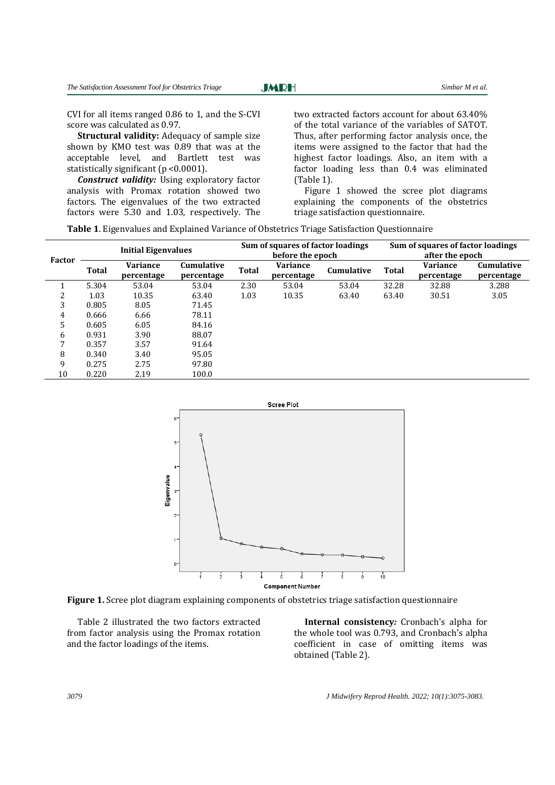Ī

CVI for all items ranged 0.86 to 1, and the S-CVI score was calculated as 0.97.

**Structural validity:** Adequacy of sample size shown by KMO test was 0.89 that was at the acceptable level, and Bartlett test was statistically significant  $(p \le 0.0001)$ .

*Construct validity:* Using exploratory factor analysis with Promax rotation showed two factors. The eigenvalues of the two extracted factors were 5.30 and 1.03, respectively. The

two extracted factors account for about 63.40% of the total variance of the variables of SATOT. Thus, after performing factor analysis once, the items were assigned to the factor that had the highest factor loadings. Also, an item with a factor loading less than 0.4 was eliminated  $(Table 1)$ .

Figure 1 showed the scree plot diagrams explaining the components of the obstetrics triage satisfaction questionnaire.

Table 1. Eigenvalues and Explained Variance of Obstetrics Triage Satisfaction Questionnaire

| Factor         | <b>Initial Eigenvalues</b> |                               | Sum of squares of factor loadings<br>before the epoch |              |                               | Sum of squares of factor loadings<br>after the epoch |       |                               |                                 |
|----------------|----------------------------|-------------------------------|-------------------------------------------------------|--------------|-------------------------------|------------------------------------------------------|-------|-------------------------------|---------------------------------|
|                | Total                      | <b>Variance</b><br>percentage | <b>Cumulative</b><br>percentage                       | <b>Total</b> | <b>Variance</b><br>percentage | <b>Cumulative</b>                                    | Total | <b>Variance</b><br>percentage | <b>Cumulative</b><br>percentage |
|                | 5.304                      | 53.04                         | 53.04                                                 | 2.30         | 53.04                         | 53.04                                                | 32.28 | 32.88                         | 3.288                           |
| 2              | 1.03                       | 10.35                         | 63.40                                                 | 1.03         | 10.35                         | 63.40                                                | 63.40 | 30.51                         | 3.05                            |
| 3              | 0.805                      | 8.05                          | 71.45                                                 |              |                               |                                                      |       |                               |                                 |
| 4              | 0.666                      | 6.66                          | 78.11                                                 |              |                               |                                                      |       |                               |                                 |
| $\overline{5}$ | 0.605                      | 6.05                          | 84.16                                                 |              |                               |                                                      |       |                               |                                 |
| 6              | 0.931                      | 3.90                          | 88.07                                                 |              |                               |                                                      |       |                               |                                 |
| 7              | 0.357                      | 3.57                          | 91.64                                                 |              |                               |                                                      |       |                               |                                 |
| 8              | 0.340                      | 3.40                          | 95.05                                                 |              |                               |                                                      |       |                               |                                 |
| 9              | 0.275                      | 2.75                          | 97.80                                                 |              |                               |                                                      |       |                               |                                 |
| 10             | 0.220                      | 2.19                          | 100.0                                                 |              |                               |                                                      |       |                               |                                 |





Table 2 illustrated the two factors extracted from factor analysis using the Promax rotation and the factor loadings of the items.

**Internal consistency**: Cronbach's alpha for the whole tool was 0.793, and Cronbach's alpha coefficient in case of omitting items was obtained (Table 2).

*3079 J Midwifery Reprod Health. 2022; 10(1):3075-3083.*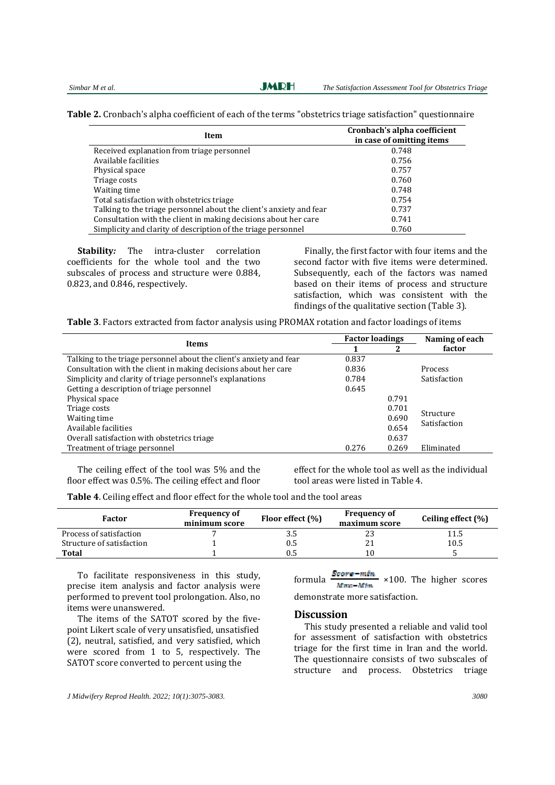**JMRH** 

**Table 2.** Cronbach's alpha coefficient of each of the terms "obstetrics triage satisfaction" questionnaire

| Item                                                                | Cronbach's alpha coefficient<br>in case of omitting items |
|---------------------------------------------------------------------|-----------------------------------------------------------|
| Received explanation from triage personnel                          | 0.748                                                     |
| Available facilities                                                | 0.756                                                     |
| Physical space                                                      | 0.757                                                     |
| Triage costs                                                        | 0.760                                                     |
| Waiting time                                                        | 0.748                                                     |
| Total satisfaction with obstetrics triage                           | 0.754                                                     |
| Talking to the triage personnel about the client's anxiety and fear | 0.737                                                     |
| Consultation with the client in making decisions about her care     | 0.741                                                     |
| Simplicity and clarity of description of the triage personnel       | 0.760                                                     |

**Stability**: The intra-cluster correlation coefficients for the whole tool and the two subscales of process and structure were 0.884, 0.823, and 0.846, respectively.

Finally, the first factor with four items and the second factor with five items were determined. Subsequently, each of the factors was named based on their items of process and structure satisfaction, which was consistent with the findings of the qualitative section (Table 3).

**Table 3**. Factors extracted from factor analysis using PROMAX rotation and factor loadings of items

| <b>Items</b>                                                        | <b>Factor loadings</b> |       | Naming of each |
|---------------------------------------------------------------------|------------------------|-------|----------------|
|                                                                     |                        | י     | factor         |
| Talking to the triage personnel about the client's anxiety and fear | 0.837                  |       |                |
| Consultation with the client in making decisions about her care     | 0.836                  |       | <b>Process</b> |
| Simplicity and clarity of triage personnel's explanations           | 0.784                  |       | Satisfaction   |
| Getting a description of triage personnel                           | 0.645                  |       |                |
| Physical space                                                      |                        | 0.791 |                |
| Triage costs                                                        |                        | 0.701 | Structure      |
| Waiting time                                                        |                        | 0.690 | Satisfaction   |
| Available facilities                                                |                        | 0.654 |                |
| Overall satisfaction with obstetrics triage                         |                        | 0.637 |                |
| Treatment of triage personnel                                       | 0.276                  | 0.269 | Eliminated     |

The ceiling effect of the tool was  $5%$  and the floor effect was  $0.5\%$ . The ceiling effect and floor effect for the whole tool as well as the individual tool areas were listed in Table 4.

**Table 4**. Ceiling effect and floor effect for the whole tool and the tool areas

| Factor                    | <b>Frequency of</b><br>minimum score | Floor effect (%) | <b>Frequency of</b><br>maximum score | Ceiling effect (%) |
|---------------------------|--------------------------------------|------------------|--------------------------------------|--------------------|
| Process of satisfaction   |                                      | 3.5              | ں ک                                  | 11.5               |
| Structure of satisfaction |                                      | Ս.Ե              |                                      | 10.5               |
| <b>Total</b>              |                                      |                  |                                      |                    |

To facilitate responsiveness in this study, precise item analysis and factor analysis were performed to prevent tool prolongation. Also, no items were unanswered.

The items of the SATOT scored by the fivepoint Likert scale of very unsatisfied, unsatisfied  $(2)$ , neutral, satisfied, and very satisfied, which were scored from  $1$  to  $5$ , respectively. The SATOT score converted to percent using the

formula  $\frac{Score - mtn}{Mmn - Mtn} \times 100$ . The higher scores

demonstrate more satisfaction.

### **Discussion**

This study presented a reliable and valid tool for assessment of satisfaction with obstetrics triage for the first time in Iran and the world. The questionnaire consists of two subscales of structure and process. Obstetrics triage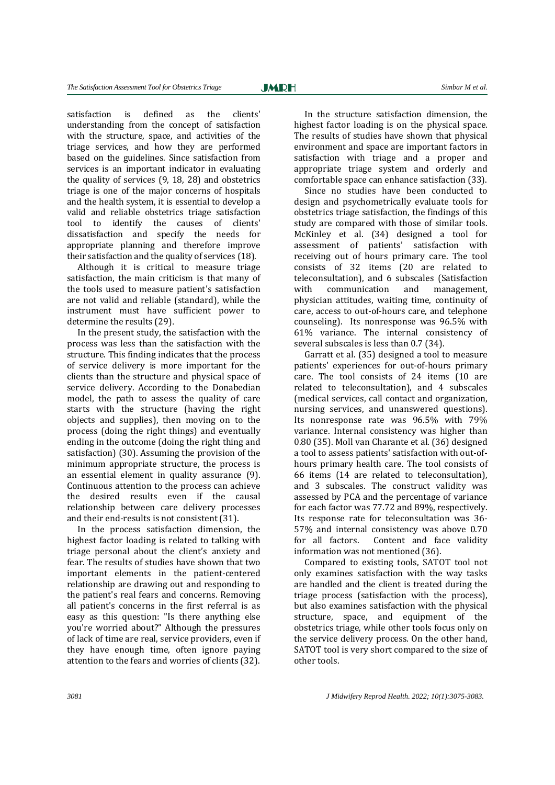**JMRH** 

Ī

satisfaction is defined as the clients' understanding from the concept of satisfaction with the structure, space, and activities of the triage services, and how they are performed based on the guidelines. Since satisfaction from services is an important indicator in evaluating the quality of services  $(9, 18, 28)$  and obstetrics triage is one of the major concerns of hospitals and the health system, it is essential to develop a valid and reliable obstetrics triage satisfaction tool to identify the causes of clients' dissatisfaction and specify the needs for appropriate planning and therefore improve their satisfaction and the quality of services (18).

Although it is critical to measure triage satisfaction, the main criticism is that many of the tools used to measure patient's satisfaction are not valid and reliable (standard), while the instrument must have sufficient power to determine the results (29).

In the present study, the satisfaction with the process was less than the satisfaction with the structure. This finding indicates that the process of service delivery is more important for the clients than the structure and physical space of service delivery. According to the Donabedian model, the path to assess the quality of care starts with the structure (having the right objects and supplies), then moving on to the process (doing the right things) and eventually ending in the outcome (doing the right thing and satisfaction)  $(30)$ . Assuming the provision of the minimum appropriate structure, the process is an essential element in quality assurance (9). Continuous attention to the process can achieve the desired results even if the causal relationship between care delivery processes and their end-results is not consistent (31).

In the process satisfaction dimension, the highest factor loading is related to talking with triage personal about the client's anxiety and fear. The results of studies have shown that two important elements in the patient-centered relationship are drawing out and responding to the patient's real fears and concerns. Removing all patient's concerns in the first referral is as easy as this question: "Is there anything else you're worried about?" Although the pressures of lack of time are real, service providers, even if they have enough time, often ignore paying attention to the fears and worries of clients (32).

In the structure satisfaction dimension, the highest factor loading is on the physical space. The results of studies have shown that physical environment and space are important factors in satisfaction with triage and a proper and appropriate triage system and orderly and comfortable space can enhance satisfaction (33).

Since no studies have been conducted to design and psychometrically evaluate tools for obstetrics triage satisfaction, the findings of this study are compared with those of similar tools. McKinley et al. (34) designed a tool for assessment of patients' satisfaction with receiving out of hours primary care. The tool consists of 32 items (20 are related to teleconsultation), and 6 subscales (Satisfaction with communication and management, physician attitudes, waiting time, continuity of care, access to out-of-hours care, and telephone counseling). Its nonresponse was  $96.5\%$  with 61% variance. The internal consistency of several subscales is less than  $0.7$   $(34)$ .

Garratt et al. (35) designed a tool to measure patients' experiences for out-of-hours primary care. The tool consists of 24 items (10 are related to teleconsultation), and 4 subscales (medical services, call contact and organization, nursing services, and unanswered questions). Its nonresponse rate was  $96.5\%$  with  $79\%$ variance. Internal consistency was higher than 0.80 (35). Moll van Charante et al. (36) designed a tool to assess patients' satisfaction with out-ofhours primary health care. The tool consists of 66 items (14 are related to teleconsultation), and 3 subscales. The construct validity was assessed by PCA and the percentage of variance for each factor was 77.72 and 89%, respectively. Its response rate for teleconsultation was 36-57% and internal consistency was above 0.70 for all factors. Content and face validity information was not mentioned (36).

Compared to existing tools, SATOT tool not only examines satisfaction with the way tasks are handled and the client is treated during the triage process (satisfaction with the process), but also examines satisfaction with the physical structure, space, and equipment of the obstetrics triage, while other tools focus only on the service delivery process. On the other hand, SATOT tool is very short compared to the size of other tools.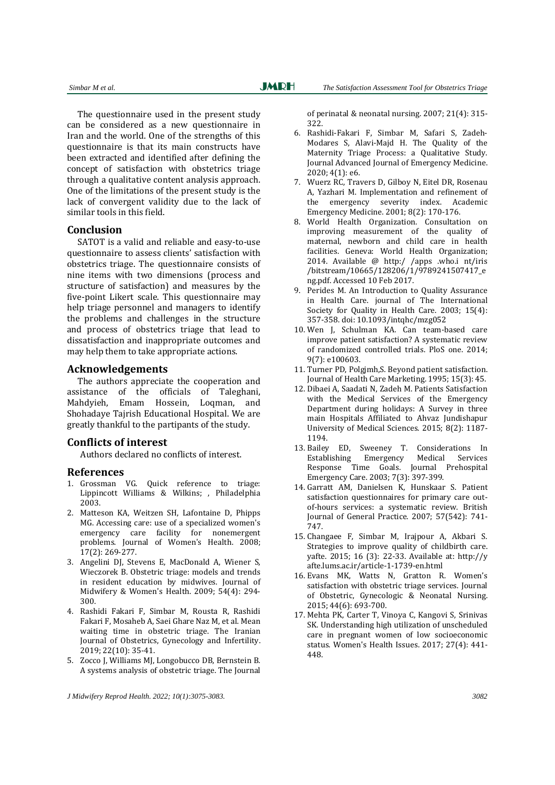The questionnaire used in the present study can be considered as a new questionnaire in Iran and the world. One of the strengths of this questionnaire is that its main constructs have been extracted and identified after defining the concept of satisfaction with obstetrics triage through a qualitative content analysis approach. One of the limitations of the present study is the lack of convergent validity due to the lack of similar tools in this field.

### **Conclusion**

SATOT is a valid and reliable and easy-to-use questionnaire to assess clients' satisfaction with obstetrics triage. The questionnaire consists of nine items with two dimensions (process and structure of satisfaction) and measures by the five-point Likert scale. This questionnaire may help triage personnel and managers to identify the problems and challenges in the structure and process of obstetrics triage that lead to dissatisfaction and inappropriate outcomes and may help them to take appropriate actions.

### **Acknowledgements**

The authors appreciate the cooperation and assistance of the officials of Taleghani, Mahdyieh, Emam Hossein, Logman, and Shohadaye Tajrish Educational Hospital. We are greatly thankful to the partipants of the study.

### **Conflicts of interest**

Authors declared no conflicts of interest.

### **References**

- 1. Grossman VG. Quick reference to triage: Lippincott Williams & Wilkins; , Philadelphia 2003.
- 2. Matteson KA, Weitzen SH, Lafontaine D, Phipps MG. Accessing care: use of a specialized women's emergency care facility for nonemergent problems. Journal of Women's Health. 2008; 17(2): 269‐277.
- 3. Angelini DJ, Stevens E, MacDonald A, Wiener S, Wieczorek B. Obstetric triage: models and trends in resident education by midwives. Journal of Midwifery & Women's Health. 2009; 54(4): 294-300.
- 4. Rashidi Fakari F, Simbar M, Rousta R, Rashidi Fakari F, Mosaheb A, Saei Ghare Naz M, et al. Mean waiting time in obstetric triage. The Iranian Journal of Obstetrics, Gynecology and Infertility. 2019; 22(10): 35-41.
- 5. Zocco J, Williams MJ, Longobucco DB, Bernstein B. A systems analysis of obstetric triage. The Journal

*J Midwifery Reprod Health. 2022; 10(1):3075-3083. 3082* 

of perinatal & neonatal nursing.  $2007$ ;  $21(4)$ : 315-322. 

- 6. Rashidi‐Fakari F, Simbar M, Safari S, Zadeh‐ Modares S, Alavi-Majd H. The Quality of the Maternity Triage Process: a Qualitative Study. Journal Advanced Journal of Emergency Medicine. 2020; 4(1): e6.
- 7. Wuerz RC, Travers D, Gilboy N, Eitel DR, Rosenau A, Yazhari M. Implementation and refinement of the emergency severity index. Academic Emergency Medicine. 2001; 8(2): 170-176.
- 8. World Health Organization. Consultation on improving measurement of the quality of maternal, newborn and child care in health facilities. Geneva: World Health Organization: 2014. Available  $@$  http:/ /apps .who.i nt/iris /bitstream/10665/128206/1/9789241507417\_e ng.pdf. Accessed 10 Feb 2017.
- 9. Perides M. An Introduction to Quality Assurance in Health Care. journal of The International Society for Quality in Health Care. 2003; 15(4): 357‐358. doi: 10.1093/intqhc/mzg052
- 10. Wen J, Schulman KA. Can team-based care improve patient satisfaction? A systematic review of randomized controlled trials. PloS one. 2014; 9(7): e100603.
- 11. Turner PD, Polgimh, S. Beyond patient satisfaction. Journal of Health Care Marketing. 1995; 15(3): 45.
- 12. Dibaei A, Saadati N, Zadeh M. Patients Satisfaction with the Medical Services of the Emergency Department during holidays: A Survey in three main Hospitals Affiliated to Ahvaz Jundishapur University of Medical Sciences. 2015; 8(2): 1187-1194.
- 13. Bailey ED, Sweeney T. Considerations In Establishing Emergency Medical Services Response Time Goals. Journal Prehospital Emergency Care. 2003; 7(3): 397-399.
- 14. Garratt AM, Danielsen K, Hunskaar S. Patient satisfaction questionnaires for primary care outof-hours services: a systematic review. British Journal of General Practice. 2007; 57(542): 741-747.
- 15. Changaee F, Simbar M, Irajpour A, Akbari S. Strategies to improve quality of childbirth care. yafte. 2015; 16 (3): 22-33. Available at: http://y afte.lums.ac.ir/article‐1‐1739‐en.html
- 16. Evans MK, Watts N, Gratton R. Women's satisfaction with obstetric triage services. Journal of Obstetric, Gynecologic & Neonatal Nursing. 2015; 44(6): 693-700.
- 17. Mehta PK, Carter T, Vinoya C, Kangovi S, Srinivas SK. Understanding high utilization of unscheduled care in pregnant women of low socioeconomic status. Women's Health Issues. 2017; 27(4): 441-448.